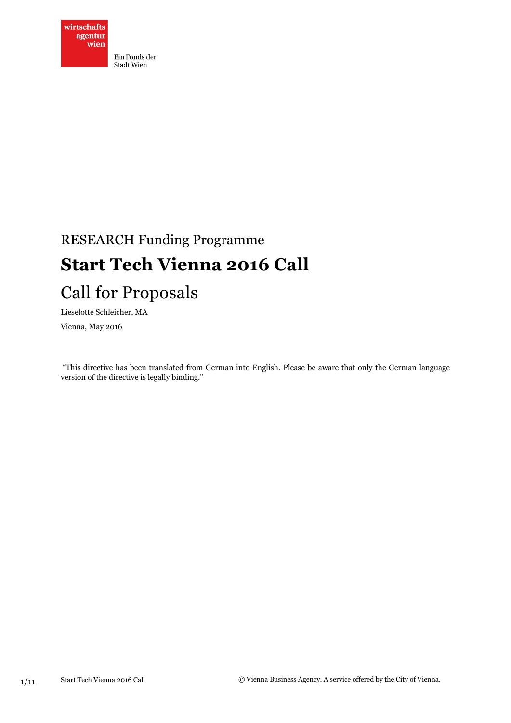

# RESEARCH Funding Programme **Start Tech Vienna 2016 Call**

## Call for Proposals

Lieselotte Schleicher, MA

Vienna, May 2016

"This directive has been translated from German into English. Please be aware that only the German language version of the directive is legally binding."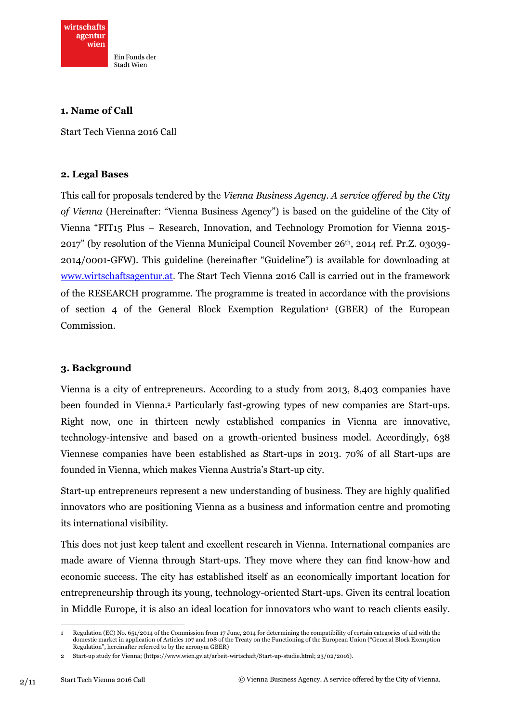

**1. Name of Call**

Start Tech Vienna 2016 Call

#### **2. Legal Bases**

This call for proposals tendered by the *Vienna Business Agency*. *A service offered by the City of Vienna* (Hereinafter: "Vienna Business Agency") is based on the guideline of the City of Vienna "FIT15 Plus – Research, Innovation, and Technology Promotion for Vienna 2015-  $2017$ " (by resolution of the Vienna Municipal Council November  $26<sup>th</sup>$ , 2014 ref. Pr.Z. 03039-2014/0001-GFW). This guideline (hereinafter "Guideline") is available for downloading at [www.wirtschaftsagentur.at](http://www.wirtschaftsagentur.at/). The Start Tech Vienna 2016 Call is carried out in the framework of the RESEARCH programme. The programme is treated in accordance with the provisions of section 4 of the General Block Exemption Regulation<sup>1</sup> (GBER) of the European Commission.

#### **3. Background**

Vienna is a city of entrepreneurs. According to a study from 2013, 8,403 companies have been founded in Vienna. <sup>2</sup> Particularly fast-growing types of new companies are Start-ups. Right now, one in thirteen newly established companies in Vienna are innovative, technology-intensive and based on a growth-oriented business model. Accordingly, 638 Viennese companies have been established as Start-ups in 2013. 70% of all Start-ups are founded in Vienna, which makes Vienna Austria's Start-up city.

Start-up entrepreneurs represent a new understanding of business. They are highly qualified innovators who are positioning Vienna as a business and information centre and promoting its international visibility.

This does not just keep talent and excellent research in Vienna. International companies are made aware of Vienna through Start-ups. They move where they can find know-how and economic success. The city has established itself as an economically important location for entrepreneurship through its young, technology-oriented Start-ups. Given its central location in Middle Europe, it is also an ideal location for innovators who want to reach clients easily.

 $\overline{a}$ 1 Regulation (EC) No. 651/2014 of the Commission from 17 June, 2014 for determining the compatibility of certain categories of aid with the domestic market in application of Articles 107 and 108 of the Treaty on the Functioning of the European Union ("General Block Exemption Regulation", hereinafter referred to by the acronym GBER)

<sup>2</sup> Start-up study for Vienna; [\(https://www.wien.gv.at/arbeit-wirtschaft/Start-up-studie.html;](https://www.wien.gv.at/arbeit-wirtschaft/start-up-studie.html) 23/02/2016).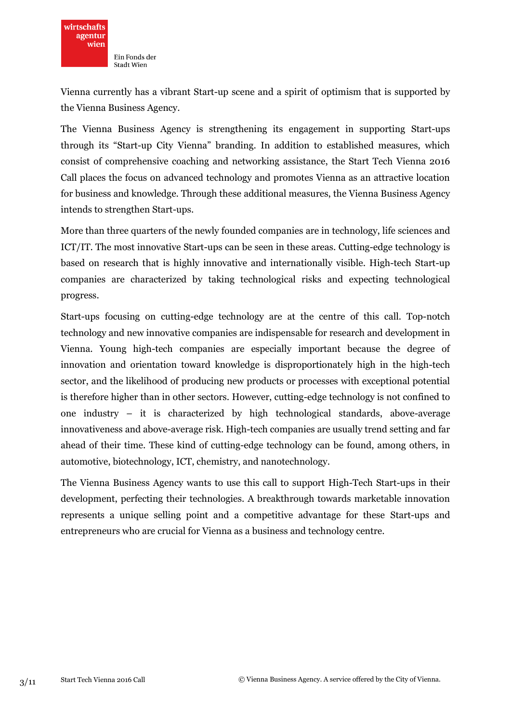

Vienna currently has a vibrant Start-up scene and a spirit of optimism that is supported by the Vienna Business Agency.

The Vienna Business Agency is strengthening its engagement in supporting Start-ups through its "Start-up City Vienna" branding. In addition to established measures, which consist of comprehensive coaching and networking assistance, the Start Tech Vienna 2016 Call places the focus on advanced technology and promotes Vienna as an attractive location for business and knowledge. Through these additional measures, the Vienna Business Agency intends to strengthen Start-ups.

More than three quarters of the newly founded companies are in technology, life sciences and ICT/IT. The most innovative Start-ups can be seen in these areas. Cutting-edge technology is based on research that is highly innovative and internationally visible. High-tech Start-up companies are characterized by taking technological risks and expecting technological progress.

Start-ups focusing on cutting-edge technology are at the centre of this call. Top-notch technology and new innovative companies are indispensable for research and development in Vienna. Young high-tech companies are especially important because the degree of innovation and orientation toward knowledge is disproportionately high in the high-tech sector, and the likelihood of producing new products or processes with exceptional potential is therefore higher than in other sectors. However, cutting-edge technology is not confined to one industry – it is characterized by high technological standards, above-average innovativeness and above-average risk. High-tech companies are usually trend setting and far ahead of their time. These kind of cutting-edge technology can be found, among others, in automotive, biotechnology, ICT, chemistry, and nanotechnology.

The Vienna Business Agency wants to use this call to support High-Tech Start-ups in their development, perfecting their technologies. A breakthrough towards marketable innovation represents a unique selling point and a competitive advantage for these Start-ups and entrepreneurs who are crucial for Vienna as a business and technology centre.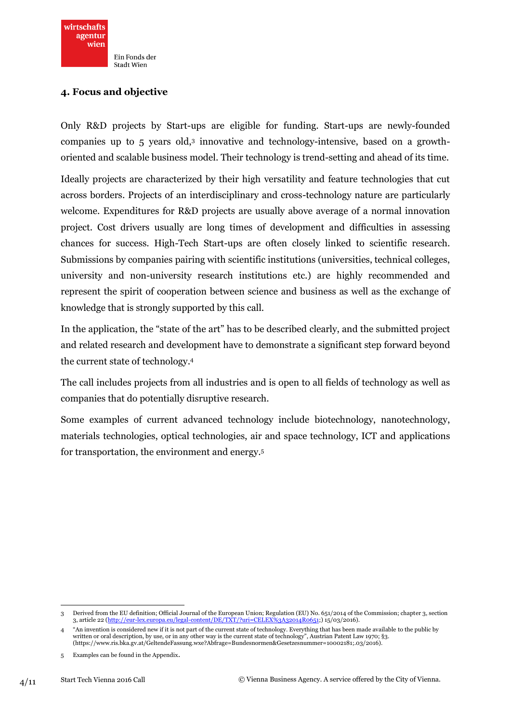## **4. Focus and objective**

Only R&D projects by Start-ups are eligible for funding. Start-ups are newly-founded companies up to 5 years old,<sup>3</sup> innovative and technology-intensive, based on a growthoriented and scalable business model. Their technology is trend-setting and ahead of its time.

Ideally projects are characterized by their high versatility and feature technologies that cut across borders. Projects of an interdisciplinary and cross-technology nature are particularly welcome. Expenditures for R&D projects are usually above average of a normal innovation project. Cost drivers usually are long times of development and difficulties in assessing chances for success. High-Tech Start-ups are often closely linked to scientific research. Submissions by companies pairing with scientific institutions (universities, technical colleges, university and non-university research institutions etc.) are highly recommended and represent the spirit of cooperation between science and business as well as the exchange of knowledge that is strongly supported by this call.

In the application, the "state of the art" has to be described clearly, and the submitted project and related research and development have to demonstrate a significant step forward beyond the current state of technology. 4

The call includes projects from all industries and is open to all fields of technology as well as companies that do potentially disruptive research.

Some examples of current advanced technology include biotechnology, nanotechnology, materials technologies, optical technologies, air and space technology, ICT and applications for transportation, the environment and energy. 5

**<sup>.</sup>** 3 Derived from the EU definition; Official Journal of the European Union; Regulation (EU) No. 651/2014 of the Commission; chapter 3, section 3, article 22 [\(http://eur-lex.europa.eu/legal-content/DE/TXT/?uri=CELEX%3A32014R0651;](http://eur-lex.europa.eu/legal-content/DE/TXT/?uri=CELEX:32014R0651)) 15/03/2016).

<sup>4</sup> "An invention is considered new if it is not part of the current state of technology. Everything that has been made available to the public by written or oral description, by use, or in any other way is the current state of technology", Austrian Patent Law 1970; §3. [\(https://www.ris.bka.gv.at/GeltendeFassung.wxe?Abfrage=Bundesnormen&Gesetzesnummer=10002181;](https://www.ris.bka.gv.at/GeltendeFassung.wxe?Abfrage=Bundesnormen&Gesetzesnummer=10002181).03/2016).

<sup>5</sup> Examples can be found in the Appendix.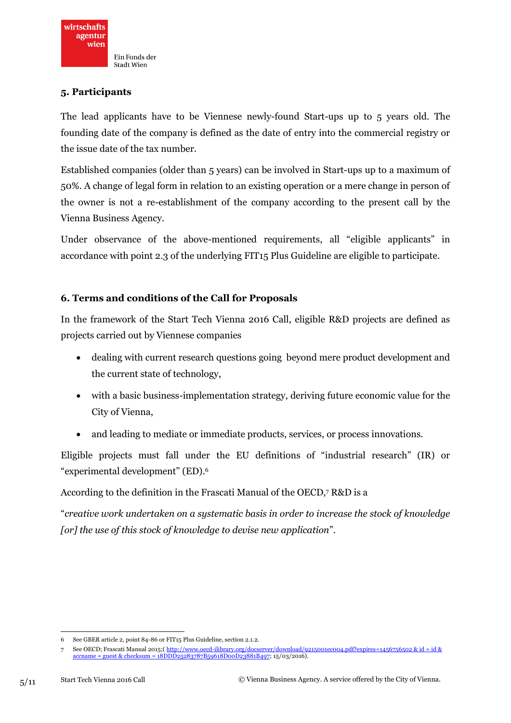### **5. Participants**

The lead applicants have to be Viennese newly-found Start-ups up to 5 years old. The founding date of the company is defined as the date of entry into the commercial registry or the issue date of the tax number.

Established companies (older than 5 years) can be involved in Start-ups up to a maximum of 50%. A change of legal form in relation to an existing operation or a mere change in person of the owner is not a re-establishment of the company according to the present call by the Vienna Business Agency.

Under observance of the above-mentioned requirements, all "eligible applicants" in accordance with point 2.3 of the underlying FIT15 Plus Guideline are eligible to participate.

## **6. Terms and conditions of the Call for Proposals**

In the framework of the Start Tech Vienna 2016 Call, eligible R&D projects are defined as projects carried out by Viennese companies

- dealing with current research questions going beyond mere product development and the current state of technology,
- with a basic business-implementation strategy, deriving future economic value for the City of Vienna,
- and leading to mediate or immediate products, services, or process innovations.

Eligible projects must fall under the EU definitions of "industrial research" (IR) or "experimental development" (ED). 6

According to the definition in the Frascati Manual of the OECD, <sup>7</sup> R&D is a

"*creative work undertaken on a systematic basis in order to increase the stock of knowledge [or] the use of this stock of knowledge to devise new application*".

 $\overline{a}$ 6 See GBER article 2, point 84-86 or FIT15 Plus Guideline, section 2.1.2.

<sup>7</sup> See OECD; Frascati Manual 2015;( [http://www.oecd-ilibrary.org/docserver/download/9215001ec004.pdf?expires=1456756502 & id = id &](http://www.oecd-ilibrary.org/docserver/download/9215001ec004.pdf?expires=1456756502&id=id&accname=guest&checksum=18DDD25283787B59618D00D23881B497) [accname = guest & checksum = 18DDD25283787B59618D00D23881B497;](http://www.oecd-ilibrary.org/docserver/download/9215001ec004.pdf?expires=1456756502&id=id&accname=guest&checksum=18DDD25283787B59618D00D23881B497) 15/03/2016).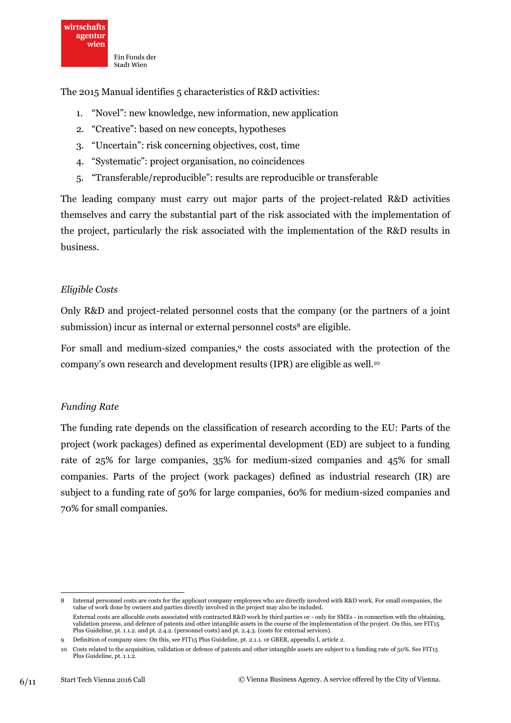The 2015 Manual identifies 5 characteristics of R&D activities:

- 1. "Novel": new knowledge, new information, new application
- 2. "Creative": based on new concepts, hypotheses
- 3. "Uncertain": risk concerning objectives, cost, time
- 4. "Systematic": project organisation, no coincidences
- 5. "Transferable/reproducible": results are reproducible or transferable

The leading company must carry out major parts of the project-related R&D activities themselves and carry the substantial part of the risk associated with the implementation of the project, particularly the risk associated with the implementation of the R&D results in business.

#### *Eligible Costs*

Only R&D and project-related personnel costs that the company (or the partners of a joint submission) incur as internal or external personnel costs<sup>8</sup> are eligible.

For small and medium-sized companies,<sup>9</sup> the costs associated with the protection of the company's own research and development results (IPR) are eligible as well.<sup>10</sup>

#### *Funding Rate*

The funding rate depends on the classification of research according to the EU: Parts of the project (work packages) defined as experimental development (ED) are subject to a funding rate of 25% for large companies, 35% for medium-sized companies and 45% for small companies. Parts of the project (work packages) defined as industrial research (IR) are subject to a funding rate of 50% for large companies, 60% for medium-sized companies and 70% for small companies.

**.** 

<sup>8</sup> Internal personnel costs are costs for the applicant company employees who are directly involved with R&D work. For small companies, the value of work done by owners and parties directly involved in the project may also be included. External costs are allocable costs associated with contracted R&D work by third parties or - only for SMEs - in connection with the obtaining, validation process, and defence of patents and other intangible assets in the course of the implementation of the project. On this, see FIT15 Plus Guideline, pt. 1.1.2. and pt. 2.4.2. (personnel costs) and pt. 2.4.3. (costs for external services).

<sup>9</sup> Definition of company sizes: On this, see FIT15 Plus Guideline, pt. 2.1.1. or GBER, appendix I, article 2.

<sup>10</sup> Costs related to the acquisition, validation or defence of patents and other intangible assets are subject to a funding rate of 50%. See FIT15 Plus Guideline, pt. 1.1.2.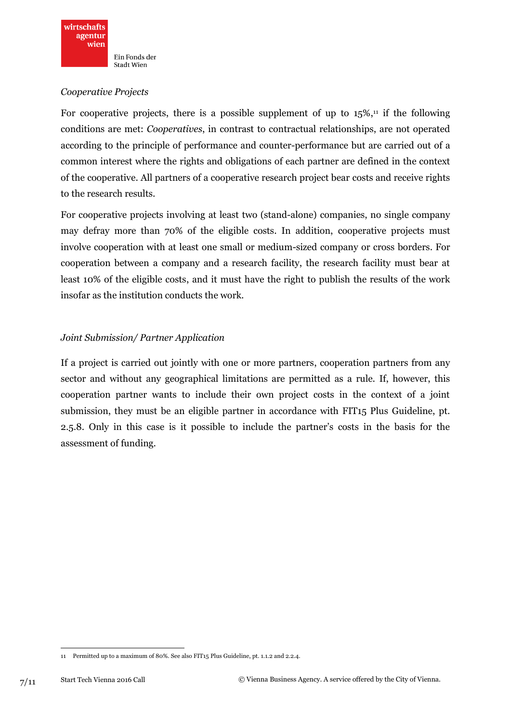#### *Cooperative Projects*

For cooperative projects, there is a possible supplement of up to  $15\%,$ <sup>11</sup> if the following conditions are met: *Cooperatives*, in contrast to contractual relationships, are not operated according to the principle of performance and counter-performance but are carried out of a common interest where the rights and obligations of each partner are defined in the context of the cooperative. All partners of a cooperative research project bear costs and receive rights to the research results.

For cooperative projects involving at least two (stand-alone) companies, no single company may defray more than 70% of the eligible costs. In addition, cooperative projects must involve cooperation with at least one small or medium-sized company or cross borders. For cooperation between a company and a research facility, the research facility must bear at least 10% of the eligible costs, and it must have the right to publish the results of the work insofar as the institution conducts the work.

## *Joint Submission/ Partner Application*

If a project is carried out jointly with one or more partners, cooperation partners from any sector and without any geographical limitations are permitted as a rule. If, however, this cooperation partner wants to include their own project costs in the context of a joint submission, they must be an eligible partner in accordance with FIT15 Plus Guideline, pt. 2.5.8. Only in this case is it possible to include the partner's costs in the basis for the assessment of funding.

**<sup>.</sup>** 11 Permitted up to a maximum of 80%. See also FIT15 Plus Guideline, pt. 1.1.2 and 2.2.4.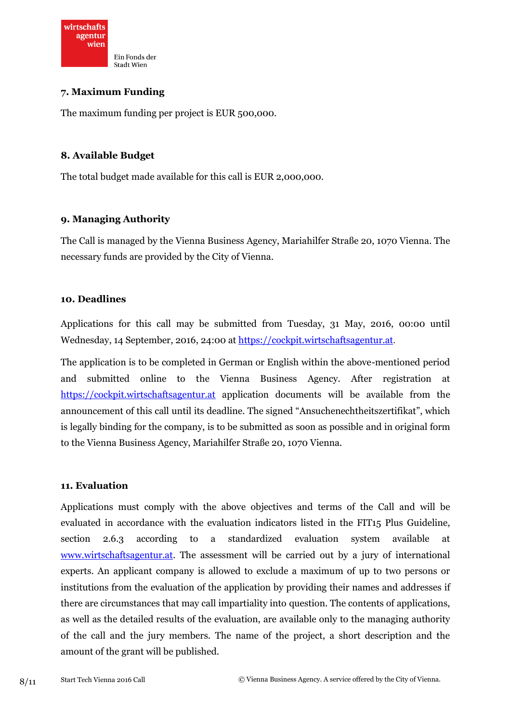

**7. Maximum Funding** 

The maximum funding per project is EUR 500,000.

#### **8. Available Budget**

The total budget made available for this call is EUR 2,000,000.

#### **9. Managing Authority**

The Call is managed by the Vienna Business Agency, Mariahilfer Straße 20, 1070 Vienna. The necessary funds are provided by the City of Vienna.

#### **10. Deadlines**

Applications for this call may be submitted from Tuesday, 31 May, 2016, 00:00 until Wednesday, 14 September, 2016, 24:00 at [https://cockpit.wirtschaftsagentur.at](https://cockpit.wirtschaftsagentur.at/).

The application is to be completed in German or English within the above-mentioned period and submitted online to the Vienna Business Agency. After registration at [https://cockpit.wirtschaftsagentur.at](https://cockpit.wirtschaftsagentur.at/) application documents will be available from the announcement of this call until its deadline. The signed "Ansuchenechtheitszertifikat", which is legally binding for the company, is to be submitted as soon as possible and in original form to the Vienna Business Agency, Mariahilfer Straße 20, 1070 Vienna.

#### **11. Evaluation**

Applications must comply with the above objectives and terms of the Call and will be evaluated in accordance with the evaluation indicators listed in the FIT15 Plus Guideline, section 2.6.3 according to a standardized evaluation system available at [www.wirtschaftsagentur.at.](http://www.wirtschaftsagentur.at/) The assessment will be carried out by a jury of international experts. An applicant company is allowed to exclude a maximum of up to two persons or institutions from the evaluation of the application by providing their names and addresses if there are circumstances that may call impartiality into question. The contents of applications, as well as the detailed results of the evaluation, are available only to the managing authority of the call and the jury members. The name of the project, a short description and the amount of the grant will be published.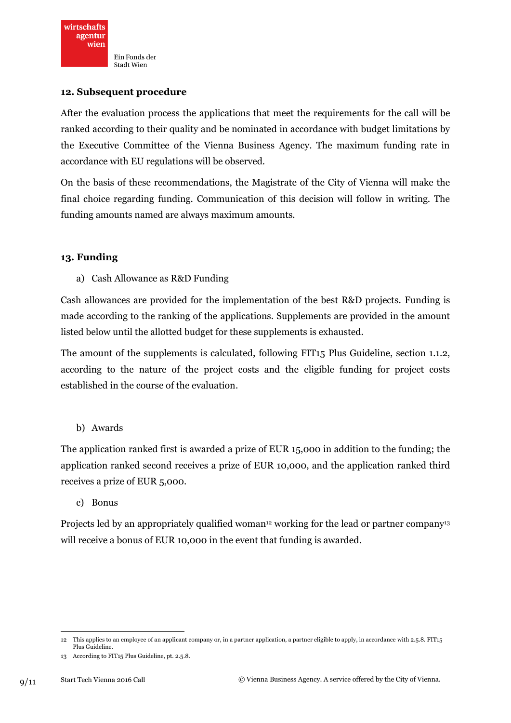#### **12. Subsequent procedure**

After the evaluation process the applications that meet the requirements for the call will be ranked according to their quality and be nominated in accordance with budget limitations by the Executive Committee of the Vienna Business Agency. The maximum funding rate in accordance with EU regulations will be observed.

On the basis of these recommendations, the Magistrate of the City of Vienna will make the final choice regarding funding. Communication of this decision will follow in writing. The funding amounts named are always maximum amounts.

#### **13. Funding**

a) Cash Allowance as R&D Funding

Cash allowances are provided for the implementation of the best R&D projects. Funding is made according to the ranking of the applications. Supplements are provided in the amount listed below until the allotted budget for these supplements is exhausted.

The amount of the supplements is calculated, following FIT15 Plus Guideline, section 1.1.2, according to the nature of the project costs and the eligible funding for project costs established in the course of the evaluation.

b) Awards

The application ranked first is awarded a prize of EUR 15,000 in addition to the funding; the application ranked second receives a prize of EUR 10,000, and the application ranked third receives a prize of EUR 5,000.

c) Bonus

Projects led by an appropriately qualified woman<sup>12</sup> working for the lead or partner company<sup>13</sup> will receive a bonus of EUR 10,000 in the event that funding is awarded.

 $\overline{a}$ 12 This applies to an employee of an applicant company or, in a partner application, a partner eligible to apply, in accordance with 2.5.8. FIT15 Plus Guideline.

<sup>13</sup> According to FIT15 Plus Guideline, pt. 2.5.8.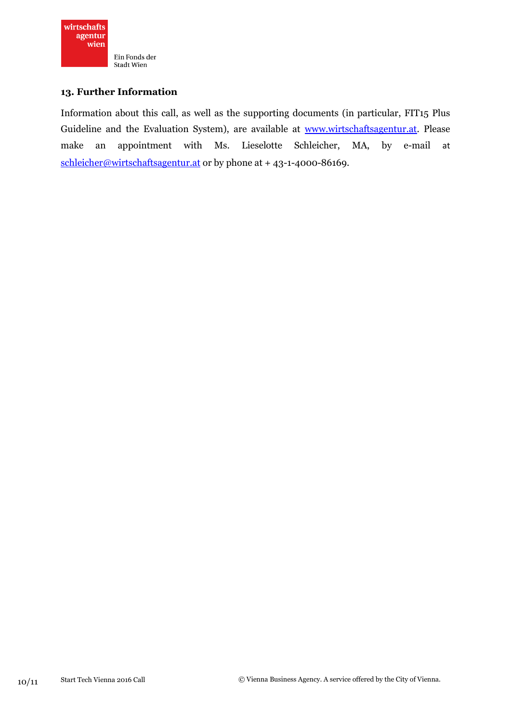

#### **13. Further Information**

Information about this call, as well as the supporting documents (in particular, FIT15 Plus Guideline and the Evaluation System), are available at [www.wirtschaftsagentur.at.](http://www.wirtschaftsagentur.at/) Please make an appointment with Ms. Lieselotte Schleicher, MA, by e-mail at [schleicher@wirtschaftsagentur.at](mailto:schleicher@wirtschaftsagentur.at) or by phone at + 43-1-4000-86169.